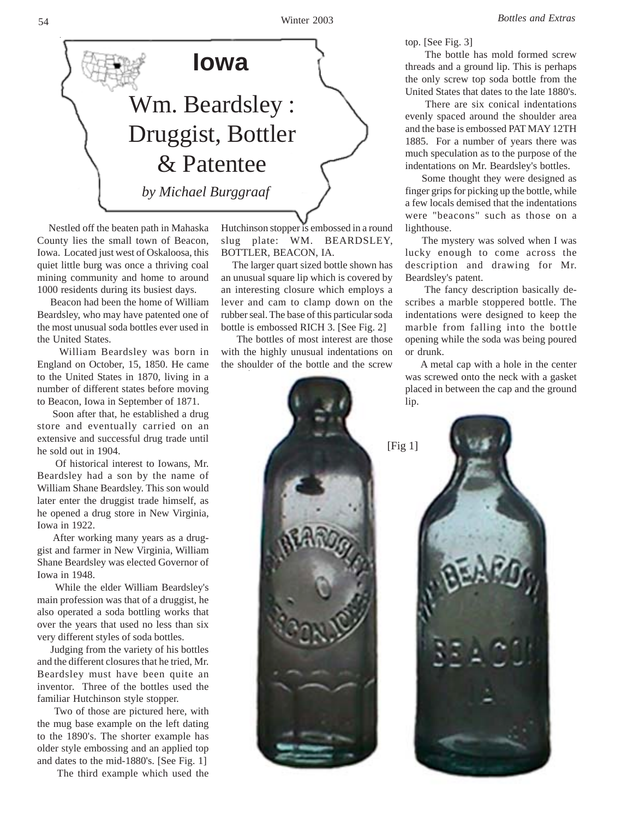

 Nestled off the beaten path in Mahaska County lies the small town of Beacon, Iowa. Located just west of Oskaloosa, this quiet little burg was once a thriving coal mining community and home to around 1000 residents during its busiest days.

 Beacon had been the home of William Beardsley, who may have patented one of the most unusual soda bottles ever used in the United States.

 William Beardsley was born in England on October, 15, 1850. He came to the United States in 1870, living in a number of different states before moving to Beacon, Iowa in September of 1871.

 Soon after that, he established a drug store and eventually carried on an extensive and successful drug trade until he sold out in 1904.

 Of historical interest to Iowans, Mr. Beardsley had a son by the name of William Shane Beardsley. This son would later enter the druggist trade himself, as he opened a drug store in New Virginia, Iowa in 1922.

 After working many years as a druggist and farmer in New Virginia, William Shane Beardsley was elected Governor of Iowa in 1948.

 While the elder William Beardsley's main profession was that of a druggist, he also operated a soda bottling works that over the years that used no less than six very different styles of soda bottles.

 Judging from the variety of his bottles and the different closures that he tried, Mr. Beardsley must have been quite an inventor. Three of the bottles used the familiar Hutchinson style stopper.

 Two of those are pictured here, with the mug base example on the left dating to the 1890's. The shorter example has older style embossing and an applied top and dates to the mid-1880's. [See Fig. 1]

The third example which used the

Hutchinson stopper is embossed in a round slug plate: WM. BEARDSLEY, BOTTLER, BEACON, IA.

 The larger quart sized bottle shown has an unusual square lip which is covered by an interesting closure which employs a lever and cam to clamp down on the rubber seal. The base of this particular soda bottle is embossed RICH 3. [See Fig. 2]

 The bottles of most interest are those with the highly unusual indentations on the shoulder of the bottle and the screw



top. [See Fig. 3]

 The bottle has mold formed screw threads and a ground lip. This is perhaps the only screw top soda bottle from the United States that dates to the late 1880's.

 There are six conical indentations evenly spaced around the shoulder area and the base is embossed PAT MAY 12TH 1885. For a number of years there was much speculation as to the purpose of the indentations on Mr. Beardsley's bottles.

 Some thought they were designed as finger grips for picking up the bottle, while a few locals demised that the indentations were "beacons" such as those on a lighthouse.

 The mystery was solved when I was lucky enough to come across the description and drawing for Mr. Beardsley's patent.

 The fancy description basically describes a marble stoppered bottle. The indentations were designed to keep the marble from falling into the bottle opening while the soda was being poured or drunk.

 A metal cap with a hole in the center was screwed onto the neck with a gasket placed in between the cap and the ground lip.

[Fig 1]